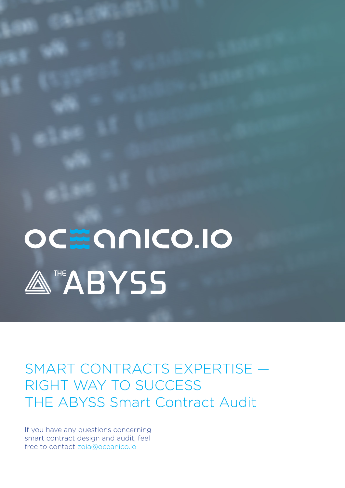# OC E ONICO.IO ATHE ABYSS

SMART CONTRACTS EXPERTISE — RIGHT WAY TO SUCCESS THE ABYSS Smart Contract Audit

If you have any questions concerning smart contract design and audit, feel free to contact zoia@oceanico.io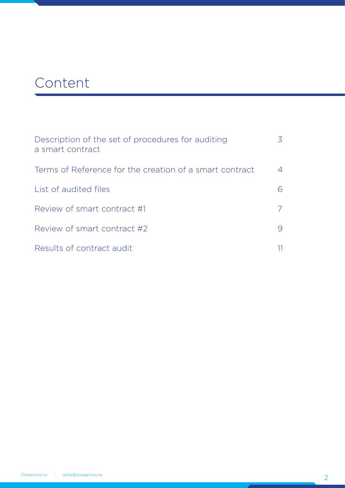# Сontent

| Description of the set of procedures for auditing<br>a smart contract |  |
|-----------------------------------------------------------------------|--|
| Terms of Reference for the creation of a smart contract               |  |
| List of audited files                                                 |  |
| Review of smart contract #1                                           |  |
| Review of smart contract #2                                           |  |
| Results of contract audit                                             |  |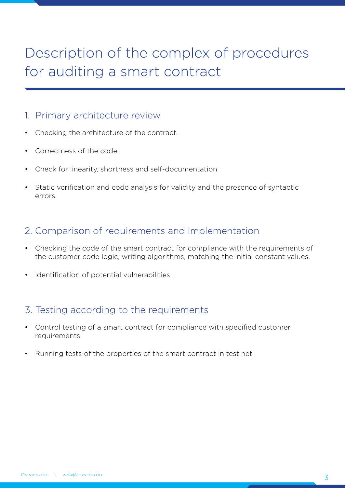# Description of the complex of procedures for auditing a smart contract

#### 1. Primary architecture review

- Checking the architecture of the contract.
- Correctness of the code.
- Check for linearity, shortness and self-documentation.
- Static verification and code analysis for validity and the presence of syntactic errors.

#### 2. Comparison of requirements and implementation

- Checking the code of the smart contract for compliance with the requirements of the customer code logic, writing algorithms, matching the initial constant values.
- Identification of potential vulnerabilities

### 3. Testing according to the requirements

- Control testing of a smart contract for compliance with specified customer requirements.
- Running tests of the properties of the smart contract in test net.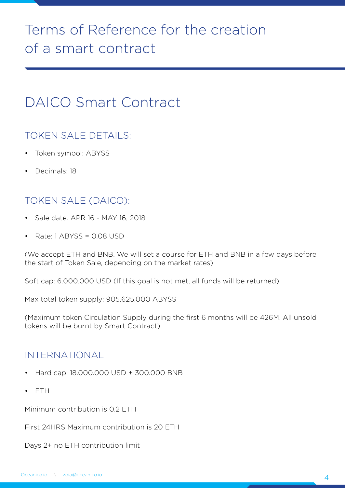# Terms of Reference for the creation of a smart contract

# DAICO Smart Contract

### TOKEN SALE DETAILS:

- Token symbol: ABYSS
- Decimals: 18

## TOKEN SALE (DAICO):

- Sale date: APR 16 MAY 16, 2018
- Rate: 1 ABYSS = 0.08 USD

(We accept ETH and BNB. We will set a course for ETH and BNB in a few days before the start of Token Sale, depending on the market rates)

Soft cap: 6.000.000 USD (If this goal is not met, all funds will be returned)

Max total token supply: 905.625.000 ABYSS

(Maximum token Circulation Supply during the first 6 months will be 426M. All unsold tokens will be burnt by Smart Contract)

### INTERNATIONAL

- Hard cap: 18.000.000 USD + 300.000 BNB
- ETH

Minimum contribution is 0.2 ETH

First 24HRS Maximum contribution is 20 ETH

Days 2+ no ETH contribution limit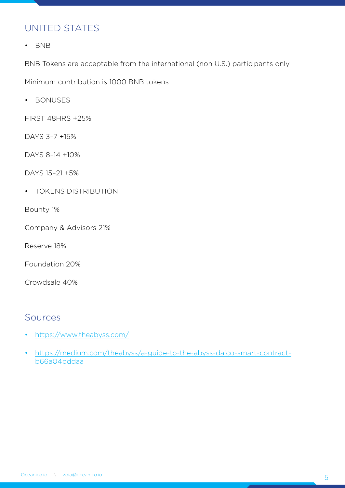### UNITED STATES

• BNB

BNB Tokens are acceptable from the international (non U.S.) participants only

Minimum contribution is 1000 BNB tokens

• BONUSES

FIRST 48HRS +25%

DAYS 3–7 +15%

DAYS 8–14 +10%

DAYS 15–21 +5%

• TOKENS DISTRIBUTION

Bounty 1%

Company & Advisors 21%

Reserve 18%

Foundation 20%

Crowdsale 40%

### Sources

- https://www.theabyss.com/
- https://medium.com/theabyss/a-guide-to-the-abyss-daico-smart-contractb66a04bddaa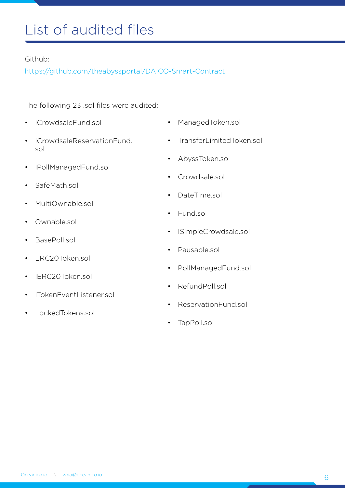# List of audited files

#### Github:

https://github.com/theabyssportal/DAICO-Smart-Contract

The following 23 .sol files were audited:

- ICrowdsaleFund.sol
- ICrowdsaleReservationFund. sol
- IPollManagedFund.sol
- SafeMath.sol
- MultiOwnable.sol
- Ownable sol
- BasePoll.sol
- ERC20Token.sol
- IFRC20Token sol
- ITokenEventListener.sol
- LockedTokens.sol
- ManagedToken.sol
- TransferLimitedToken.sol
- AbyssToken.sol
- Crowdsale.sol
- DateTime.sol
- Fund sol
- ISimpleCrowdsale.sol
- Pausable.sol
- PollManagedFund.sol
- RefundPoll.sol
- ReservationFund sol
- TapPoll.sol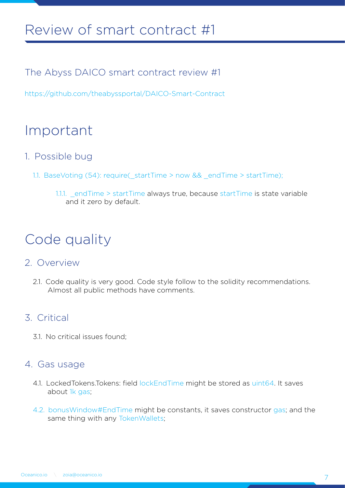# Review of smart contract #1

The Abyss DAICO smart contract review #1

https://github.com/theabyssportal/DAICO-Smart-Contract

# Important

- 1. Possible bug
	- 1.1. BaseVoting (54): require(\_startTime > now && \_endTime > startTime);
		- 1.1.1. end Time > start Time always true, because start Time is state variable and it zero by default.

# Code quality

### 2. Overview

2.1. Code quality is very good. Code style follow to the solidity recommendations. Almost all public methods have comments.

### 3. Critical

3.1. No critical issues found;

### 4. Gas usage

- 4.1. LockedTokens.Tokens: field lockEndTime might be stored as uint64. It saves about 1k gas;
- 4.2. bonusWindow#EndTime might be constants, it saves constructor gas; and the same thing with any TokenWallets;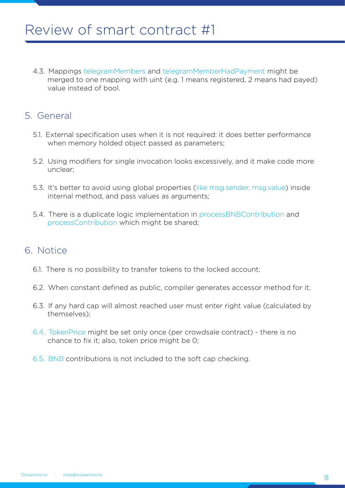4.3. Mappings telegramMembers and telegramMemberHadPayment might be merged to one mapping with uint (e.g. 1 means registered, 2 means had payed) value instead of bool.

### 5. General

- 5.1. External specification uses when it is not required: it does better performance when memory holded object passed as parameters;
- 5.2. Using modifiers for single invocation looks excessively, and it make code more unclear;
- 5.3. It's better to avoid using global properties (like msg.sender, msg.value) inside internal method, and pass values as arguments;
- 5.4. There is a duplicate logic implementation in processBNBContribution and processContribution which might be shared;

### 6. Notice

- 6.1. There is no possibility to transfer tokens to the locked account;
- 6.2. When constant defined as public, compiler generates accessor method for it;
- 6.3. If any hard cap will almost reached user must enter right value (calculated by themselves);
- 6.4. TokenPrice might be set only once (per crowdsale contract) there is no chance to fix it; also, token price might be 0;
- 6.5. BNB contributions is not included to the soft cap checking.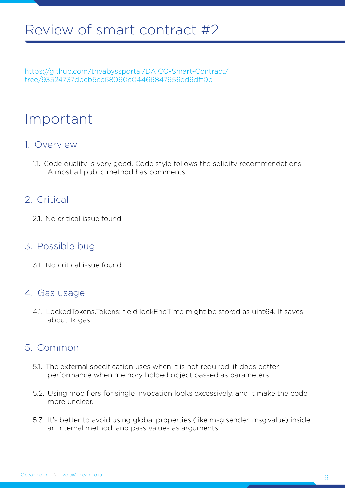https://github.com/theabyssportal/DAICO-Smart-Contract/ tree/93524737dbcb5ec68060c04466847656ed6dff0b

# Important

### 1. Overview

1.1. Code quality is very good. Code style follows the solidity recommendations. Almost all public method has comments.

### 2. Critical

2.1. No critical issue found

### 3. Possible bug

3.1. No critical issue found

### 4. Gas usage

4.1. LockedTokens.Tokens: field lockEndTime might be stored as uint64. It saves about 1k gas.

### 5. Common

- 5.1. The external specification uses when it is not required: it does better performance when memory holded object passed as parameters
- 5.2. Using modifiers for single invocation looks excessively, and it make the code more unclear.
- 5.3. It's better to avoid using global properties (like msg.sender, msg.value) inside an internal method, and pass values as arguments.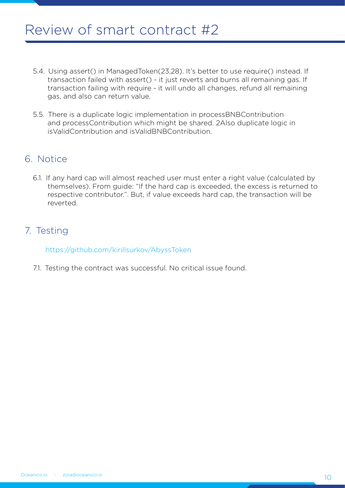- 5.4. Using assert() in ManagedToken(23,28). It's better to use require() instead. If transaction failed with assert() - it just reverts and burns all remaining gas. If transaction failing with require - it will undo all changes, refund all remaining gas, and also can return value.
- 5.5. There is a duplicate logic implementation in processBNBContribution and processContribution which might be shared. 2Also duplicate logic in isValidContribution and isValidBNBContribution.

### 6. Notice

6.1. If any hard cap will almost reached user must enter a right value (calculated by themselves). From guide: "If the hard cap is exceeded, the excess is returned to respective contributor.". But, if value exceeds hard cap, the transaction will be reverted.

### 7. Testing

https://github.com/kirillsurkov/AbyssToken

7.1. Testing the contract was successful. No critical issue found.